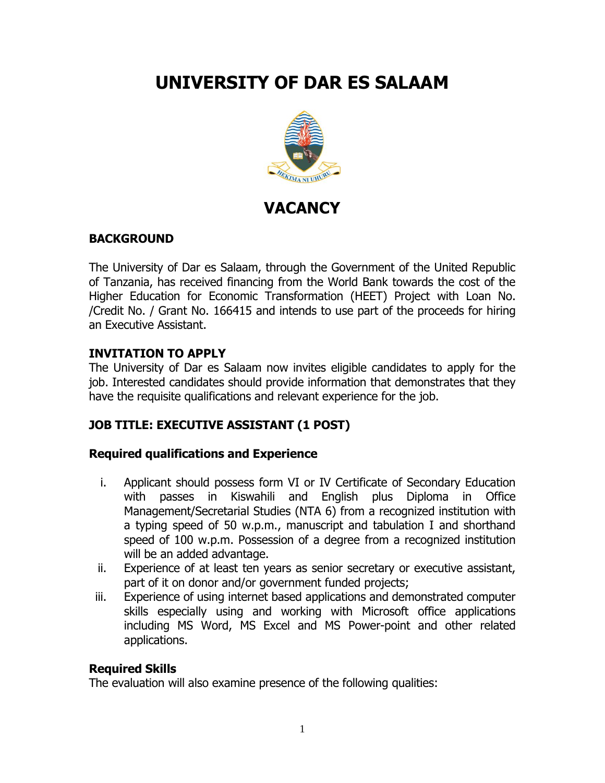# **UNIVERSITY OF DAR ES SALAAM**



## **VACANCY**

#### **BACKGROUND**

The University of Dar es Salaam, through the Government of the United Republic of Tanzania, has received financing from the World Bank towards the cost of the Higher Education for Economic Transformation (HEET) Project with Loan No. /Credit No. / Grant No. 166415 and intends to use part of the proceeds for hiring an Executive Assistant.

#### **INVITATION TO APPLY**

The University of Dar es Salaam now invites eligible candidates to apply for the job. Interested candidates should provide information that demonstrates that they have the requisite qualifications and relevant experience for the job.

### **JOB TITLE: EXECUTIVE ASSISTANT (1 POST)**

#### **Required qualifications and Experience**

- i. Applicant should possess form VI or IV Certificate of Secondary Education with passes in Kiswahili and English plus Diploma in Office Management/Secretarial Studies (NTA 6) from a recognized institution with a typing speed of 50 w.p.m., manuscript and tabulation I and shorthand speed of 100 w.p.m. Possession of a degree from a recognized institution will be an added advantage.
- ii. Experience of at least ten years as senior secretary or executive assistant, part of it on donor and/or government funded projects;
- iii. Experience of using internet based applications and demonstrated computer skills especially using and working with Microsoft office applications including MS Word, MS Excel and MS Power-point and other related applications.

#### **Required Skills**

The evaluation will also examine presence of the following qualities: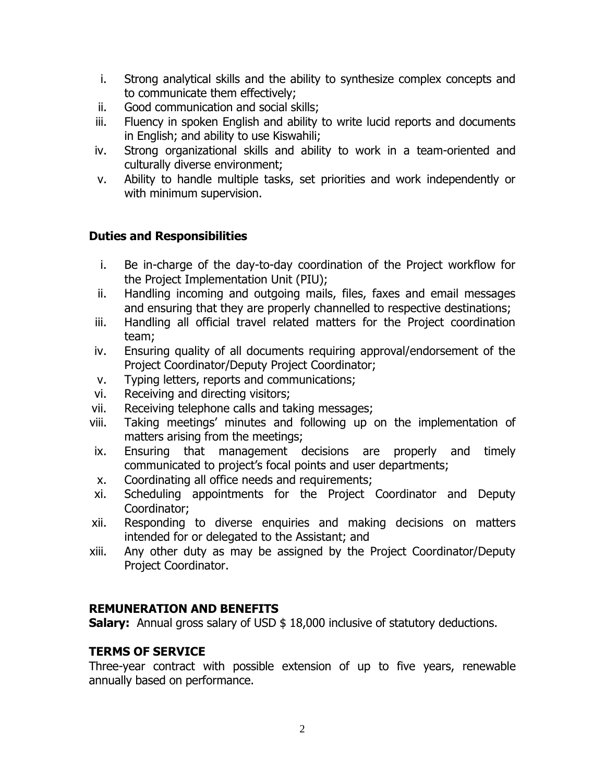- i. Strong analytical skills and the ability to synthesize complex concepts and to communicate them effectively;
- ii. Good communication and social skills;
- iii. Fluency in spoken English and ability to write lucid reports and documents in English; and ability to use Kiswahili;
- iv. Strong organizational skills and ability to work in a team-oriented and culturally diverse environment;
- v. Ability to handle multiple tasks, set priorities and work independently or with minimum supervision.

#### **Duties and Responsibilities**

- i. Be in-charge of the day-to-day coordination of the Project workflow for the Project Implementation Unit (PIU);
- ii. Handling incoming and outgoing mails, files, faxes and email messages and ensuring that they are properly channelled to respective destinations;
- iii. Handling all official travel related matters for the Project coordination team;
- iv. Ensuring quality of all documents requiring approval/endorsement of the Project Coordinator/Deputy Project Coordinator;
- v. Typing letters, reports and communications;
- vi. Receiving and directing visitors;
- vii. Receiving telephone calls and taking messages;
- viii. Taking meetings' minutes and following up on the implementation of matters arising from the meetings;
- ix. Ensuring that management decisions are properly and timely communicated to project's focal points and user departments;
- x. Coordinating all office needs and requirements;
- xi. Scheduling appointments for the Project Coordinator and Deputy Coordinator;
- xii. Responding to diverse enquiries and making decisions on matters intended for or delegated to the Assistant; and
- xiii. Any other duty as may be assigned by the Project Coordinator/Deputy Project Coordinator.

#### **REMUNERATION AND BENEFITS**

**Salary:** Annual gross salary of USD \$ 18,000 inclusive of statutory deductions.

#### **TERMS OF SERVICE**

Three-year contract with possible extension of up to five years, renewable annually based on performance.